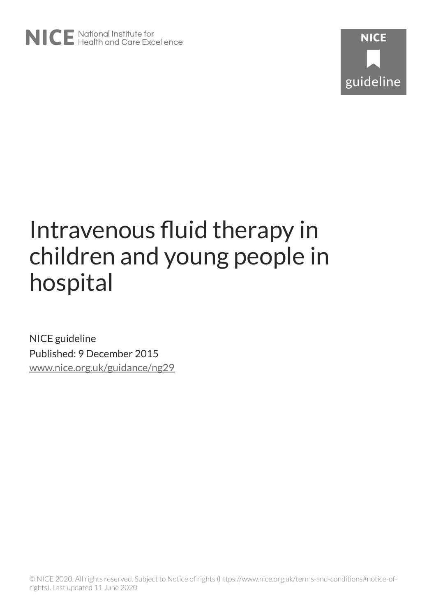

# Intravenous fluid therapy in children and young people in hospital

NICE guideline Published: 9 December 2015 [www.nice.org.uk/guidance/ng29](https://www.nice.org.uk/guidance/ng29)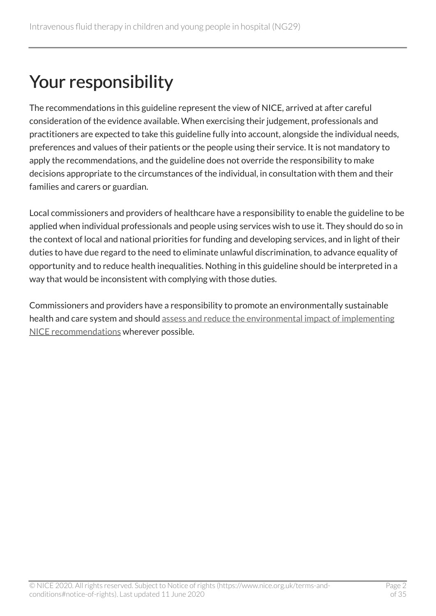## Your responsibility

The recommendations in this guideline represent the view of NICE, arrived at after careful consideration of the evidence available. When exercising their judgement, professionals and practitioners are expected to take this guideline fully into account, alongside the individual needs, preferences and values of their patients or the people using their service. It is not mandatory to apply the recommendations, and the guideline does not override the responsibility to make decisions appropriate to the circumstances of the individual, in consultation with them and their families and carers or guardian.

Local commissioners and providers of healthcare have a responsibility to enable the guideline to be applied when individual professionals and people using services wish to use it. They should do so in the context of local and national priorities for funding and developing services, and in light of their duties to have due regard to the need to eliminate unlawful discrimination, to advance equality of opportunity and to reduce health inequalities. Nothing in this guideline should be interpreted in a way that would be inconsistent with complying with those duties.

Commissioners and providers have a responsibility to promote an environmentally sustainable health and care system and should [assess and reduce the environmental impact of implementing](https://www.nice.org.uk/about/who-we-are/sustainability)  [NICE recommendations](https://www.nice.org.uk/about/who-we-are/sustainability) wherever possible.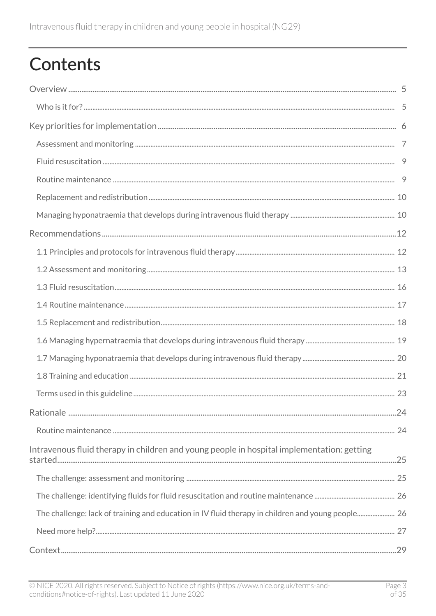## **Contents**

| Intravenous fluid therapy in children and young people in hospital implementation: getting        |  |
|---------------------------------------------------------------------------------------------------|--|
|                                                                                                   |  |
|                                                                                                   |  |
| The challenge: lack of training and education in IV fluid therapy in children and young people 26 |  |
|                                                                                                   |  |
|                                                                                                   |  |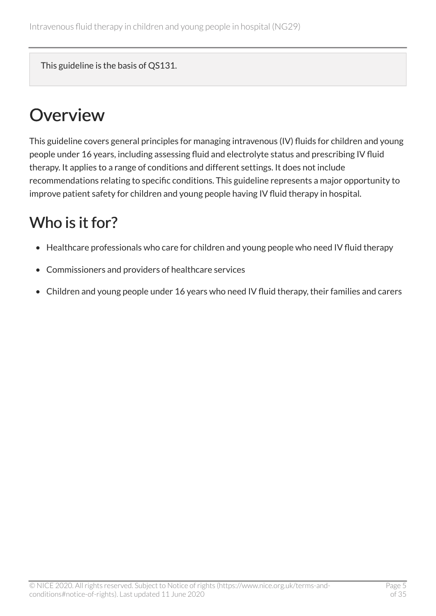This guideline is the basis of QS131.

## <span id="page-4-0"></span>**Overview**

This guideline covers general principles for managing intravenous (IV) fluids for children and young people under 16 years, including assessing fluid and electrolyte status and prescribing IV fluid therapy. It applies to a range of conditions and different settings. It does not include recommendations relating to specific conditions. This guideline represents a major opportunity to improve patient safety for children and young people having IV fluid therapy in hospital.

## <span id="page-4-1"></span>Who is it for?

- Healthcare professionals who care for children and young people who need IV fluid therapy
- Commissioners and providers of healthcare services
- Children and young people under 16 years who need IV fluid therapy, their families and carers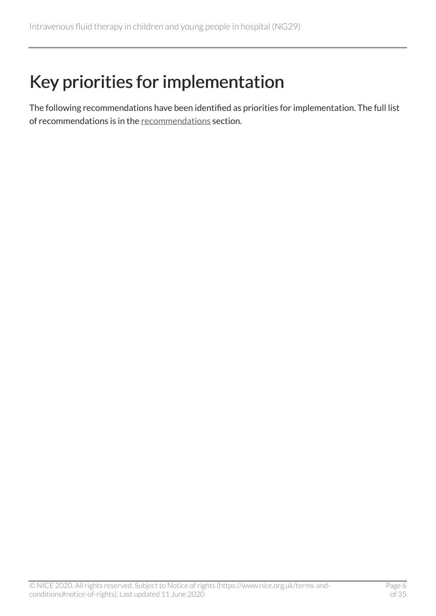## <span id="page-5-0"></span>Key priorities for implementation

The following recommendations have been identified as priorities for implementation. The full list of recommendations is in the [recommendations](#page-11-0) section.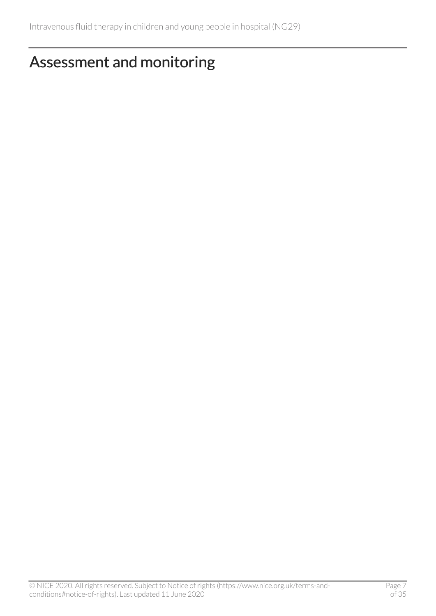### <span id="page-6-0"></span>Assessment and monitoring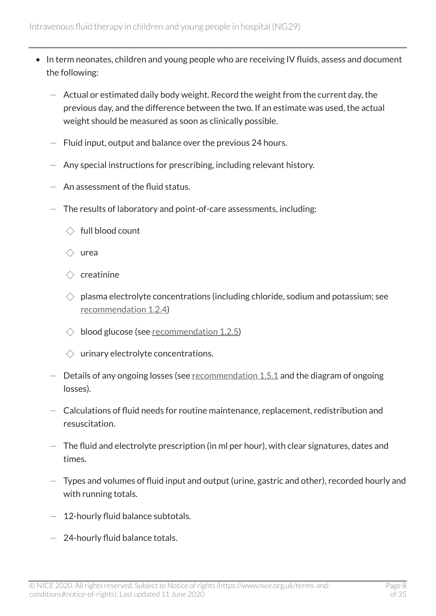- In term neonates, children and young people who are receiving IV fluids, assess and document the following:
	- $-$  Actual or estimated daily body weight. Record the weight from the current day, the previous day, and the difference between the two. If an estimate was used, the actual weight should be measured as soon as clinically possible.
	- $-$  Fluid input, output and balance over the previous 24 hours.
	- $-$  Any special instructions for prescribing, including relevant history.
	- An assessment of the fluid status.
	- $-$  The results of laboratory and point-of-care assessments, including:
		- $\Diamond$  full blood count
		- ◇ urea
		- $\Diamond$  creatinine
		- $\Diamond$  plasma electrolyte concentrations (including chloride, sodium and potassium; see [recommendation](#page-12-0) 1.2.4)
		- $\Diamond$  blood glucose (see [recommendation](#page-12-0) 1.2.5)
		- $\Diamond$  urinary electrolyte concentrations.
	- Details of any ongoing losses (see [recommendation](#page-17-0) 1.5.1 and the diagram of ongoing losses).
	- $-$  Calculations of fluid needs for routine maintenance, replacement, redistribution and resuscitation.
	- $-$  The fluid and electrolyte prescription (in ml per hour), with clear signatures, dates and times.
	- $-$  Types and volumes of fluid input and output (urine, gastric and other), recorded hourly and with running totals.
	- $-$  12-hourly fluid balance subtotals.
	- $-$  24-hourly fluid balance totals.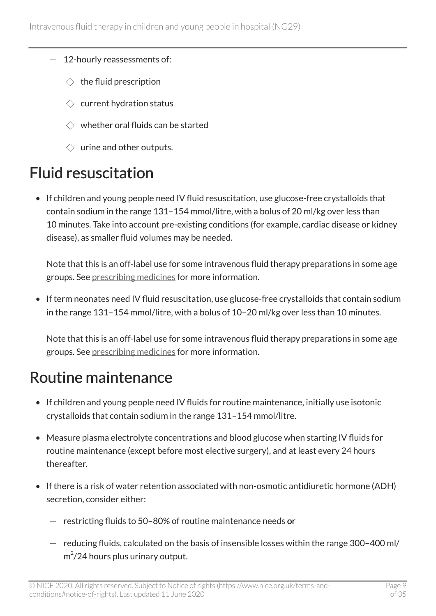- 12-hourly reassessments of:
	- $\Diamond$  the fluid prescription
	- $\Diamond$  current hydration status
	- $\Diamond$  whether oral fluids can be started
	- $\Diamond$  urine and other outputs.

## <span id="page-8-0"></span>Fluid resuscitation

• If children and young people need IV fluid resuscitation, use glucose-free crystalloids that contain sodium in the range 131–154 mmol/litre, with a bolus of 20 ml/kg over less than 10 minutes. Take into account pre-existing conditions (for example, cardiac disease or kidney disease), as smaller fluid volumes may be needed.

Note that this is an off-label use for some intravenous fluid therapy preparations in some age groups. See [prescribing medicines](https://www.nice.org.uk/about/what-we-do/our-programmes/nice-guidance/nice-guidelines/making-decisions-using-nice-guidelines#prescribing-medicines) for more information.

• If term neonates need IV fluid resuscitation, use glucose-free crystalloids that contain sodium in the range 131–154 mmol/litre, with a bolus of 10–20 ml/kg over less than 10 minutes.

Note that this is an off-label use for some intravenous fluid therapy preparations in some age groups. See [prescribing medicines](https://www.nice.org.uk/about/what-we-do/our-programmes/nice-guidance/nice-guidelines/making-decisions-using-nice-guidelines#prescribing-medicines) for more information.

## <span id="page-8-1"></span>Routine maintenance

- If children and young people need IV fluids for routine maintenance, initially use isotonic crystalloids that contain sodium in the range 131–154 mmol/litre.
- Measure plasma electrolyte concentrations and blood glucose when starting IV fluids for routine maintenance (except before most elective surgery), and at least every 24 hours thereafter.
- If there is a risk of water retention associated with non-osmotic antidiuretic hormone (ADH) secretion, consider either:
	- $-$  restricting fluids to 50-80% of routine maintenance needs or
	- $-$  reducing fluids, calculated on the basis of insensible losses within the range 300-400 ml/  $m^2/24$  hours plus urinary output.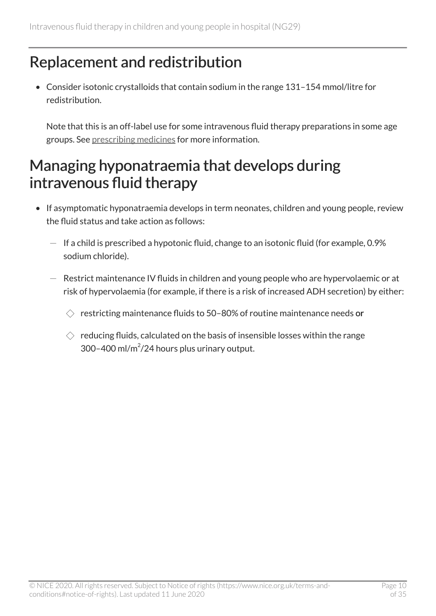## <span id="page-9-0"></span>Replacement and redistribution

• Consider isotonic crystalloids that contain sodium in the range 131–154 mmol/litre for redistribution.

Note that this is an off-label use for some intravenous fluid therapy preparations in some age groups. See [prescribing medicines](https://www.nice.org.uk/about/what-we-do/our-programmes/nice-guidance/nice-guidelines/making-decisions-using-nice-guidelines#prescribing-medicines) for more information.

### <span id="page-9-1"></span>Managing hyponatraemia that develops during intravenous fluid therapy

- If asymptomatic hyponatraemia develops in term neonates, children and young people, review the fluid status and take action as follows:
	- If a child is prescribed a hypotonic fluid, change to an isotonic fluid (for example, 0.9% sodium chloride).
	- Restrict maintenance IV fluids in children and young people who are hypervolaemic or at risk of hypervolaemia (for example, if there is a risk of increased ADH secretion) by either:
		- $\Diamond$  restricting maintenance fluids to 50-80% of routine maintenance needs or
		- $\Diamond$  reducing fluids, calculated on the basis of insensible losses within the range  $300 - 400$  ml/m<sup>2</sup>/24 hours plus urinary output.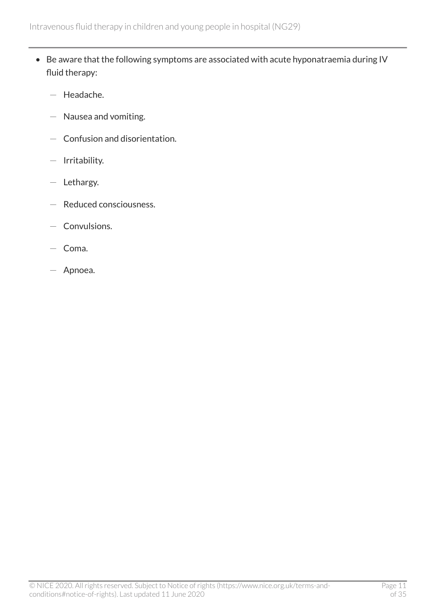- Be aware that the following symptoms are associated with acute hyponatraemia during IV fluid therapy:
	- Headache.
	- Nausea and vomiting.
	- Confusion and disorientation.
	- Irritability.
	- Lethargy.
	- Reduced consciousness.
	- Convulsions.
	- Coma.
	- Apnoea.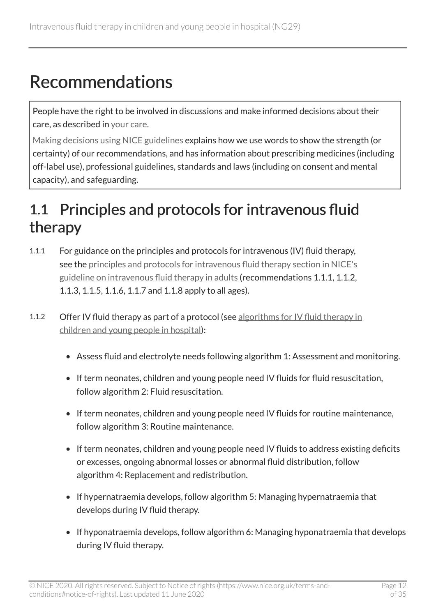## <span id="page-11-0"></span>Recommendations

People have the right to be involved in discussions and make informed decisions about their care, as described in [your care.](http://www.nice.org.uk/about/nice-communities/public-involvement/your-care)

[Making decisions using NICE guidelines](https://www.nice.org.uk/about/what-we-do/our-programmes/nice-guidance/nice-guidelines/using-NICE-guidelines-to-make-decisions) explains how we use words to show the strength (or certainty) of our recommendations, and has information about prescribing medicines (including off-label use), professional guidelines, standards and laws (including on consent and mental capacity), and safeguarding.

## <span id="page-11-1"></span>1.1 Principles and protocols for intravenous fluid therapy

- 1.1.1 For guidance on the principles and protocols for intravenous (IV) fluid therapy, see the [principles and protocols for intravenous fluid therapy section in NICE's](https://www.nice.org.uk/guidance/cg174/chapter/1-Recommendations#principles-and-protocols-for-intravenous-fluid-therapy-2) [guideline on intravenous fluid therapy in adults](https://www.nice.org.uk/guidance/cg174/chapter/1-Recommendations#principles-and-protocols-for-intravenous-fluid-therapy-2) (recommendations 1.1.1, 1.1.2, 1.1.3, 1.1.5, 1.1.6, 1.1.7 and 1.1.8 apply to all ages).
- 1.1.2 Offer IV fluid therapy as part of a protocol (see algorithms for IV fluid therapy in [children and young people in hospital\)](http://www.nice.org.uk/guidance/ng29/resources):
	- Assess fluid and electrolyte needs following algorithm 1: Assessment and monitoring.
	- If term neonates, children and young people need IV fluids for fluid resuscitation, follow algorithm 2: Fluid resuscitation.
	- If term neonates, children and young people need IV fluids for routine maintenance, follow algorithm 3: Routine maintenance.
	- If term neonates, children and young people need IV fluids to address existing deficits or excesses, ongoing abnormal losses or abnormal fluid distribution, follow algorithm 4: Replacement and redistribution.
	- If hypernatraemia develops, follow algorithm 5: Managing hypernatraemia that develops during IV fluid therapy.
	- If hyponatraemia develops, follow algorithm 6: Managing hyponatraemia that develops during IV fluid therapy.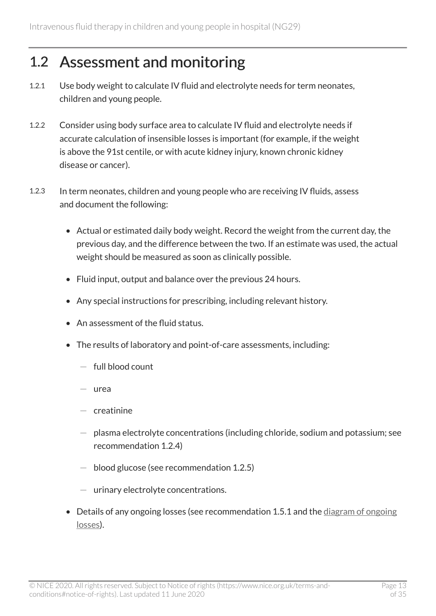### <span id="page-12-0"></span>1.2 Assessment and monitoring

- 1.2.1 Use body weight to calculate IV fluid and electrolyte needs for term neonates, children and young people.
- 1.2.2 Consider using body surface area to calculate IV fluid and electrolyte needs if accurate calculation of insensible losses is important (for example, if the weight is above the 91st centile, or with acute kidney injury, known chronic kidney disease or cancer).
- 1.2.3 In term neonates, children and young people who are receiving IV fluids, assess and document the following:
	- Actual or estimated daily body weight. Record the weight from the current day, the previous day, and the difference between the two. If an estimate was used, the actual weight should be measured as soon as clinically possible.
	- Fluid input, output and balance over the previous 24 hours.
	- Any special instructions for prescribing, including relevant history.
	- An assessment of the fluid status.
	- The results of laboratory and point-of-care assessments, including:
		- $-$  full blood count
		- $-$  urea
		- $-$  creatinine
		- $-$  plasma electrolyte concentrations (including chloride, sodium and potassium; see recommendation 1.2.4)
		- $-$  blood glucose (see recommendation 1.2.5)
		- $-$  urinary electrolyte concentrations.
	- Details of any ongoing losses (see recommendation 1.5.1 and the [diagram of ongoing](http://www.nice.org.uk/guidance/ng29/resources) [losses](http://www.nice.org.uk/guidance/ng29/resources)).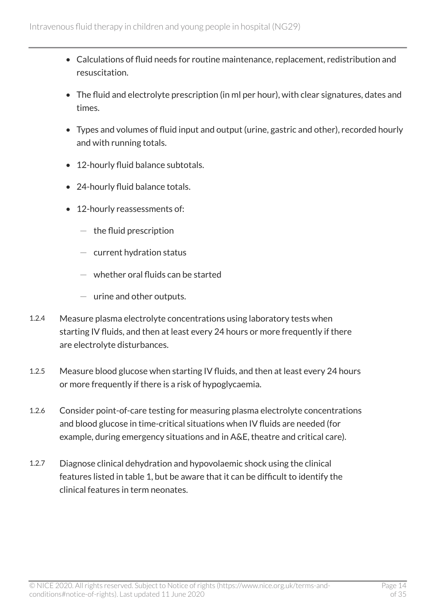- Calculations of fluid needs for routine maintenance, replacement, redistribution and resuscitation.
- The fluid and electrolyte prescription (in ml per hour), with clear signatures, dates and times.
- Types and volumes of fluid input and output (urine, gastric and other), recorded hourly and with running totals.
- 12-hourly fluid balance subtotals.
- 24-hourly fluid balance totals.
- 12-hourly reassessments of:
	- $-$  the fluid prescription
	- $-$  current hydration status
	- $-$  whether oral fluids can be started
	- $-$  urine and other outputs.
- 1.2.4 Measure plasma electrolyte concentrations using laboratory tests when starting IV fluids, and then at least every 24 hours or more frequently if there are electrolyte disturbances.
- 1.2.5 Measure blood glucose when starting IV fluids, and then at least every 24 hours or more frequently if there is a risk of hypoglycaemia.
- 1.2.6 Consider point-of-care testing for measuring plasma electrolyte concentrations and blood glucose in time-critical situations when IV fluids are needed (for example, during emergency situations and in A&E, theatre and critical care).
- 1.2.7 Diagnose clinical dehydration and hypovolaemic shock using the clinical features listed in table 1, but be aware that it can be difficult to identify the clinical features in term neonates.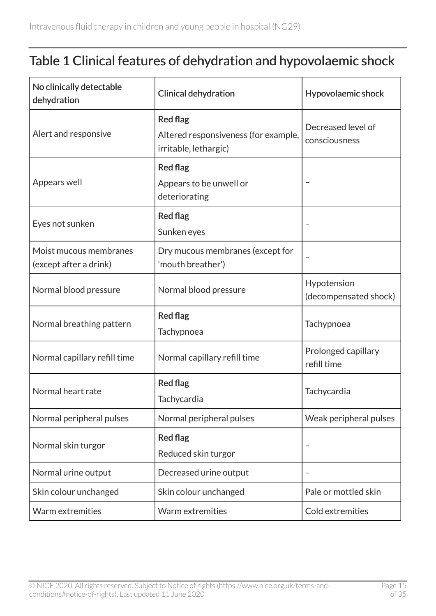#### Table 1 Clinical features of dehydration and hypovolaemic shock

| No clinically detectable<br>dehydration          | <b>Clinical dehydration</b>                                                      | Hypovolaemic shock                   |  |
|--------------------------------------------------|----------------------------------------------------------------------------------|--------------------------------------|--|
| Alert and responsive                             | <b>Red flag</b><br>Altered responsiveness (for example,<br>irritable, lethargic) | Decreased level of<br>consciousness  |  |
| Appears well                                     | <b>Red flag</b><br>Appears to be unwell or<br>deteriorating                      |                                      |  |
| Eyes not sunken                                  | <b>Red flag</b><br>Sunken eyes                                                   |                                      |  |
| Moist mucous membranes<br>(except after a drink) | Dry mucous membranes (except for<br>'mouth breather')                            |                                      |  |
| Normal blood pressure                            | Normal blood pressure                                                            | Hypotension<br>(decompensated shock) |  |
| Normal breathing pattern                         | <b>Red flag</b><br>Tachypnoea                                                    | Tachypnoea                           |  |
| Normal capillary refill time                     | Normal capillary refill time                                                     | Prolonged capillary<br>refill time   |  |
| Normal heart rate                                | <b>Red flag</b><br>Tachycardia                                                   |                                      |  |
| Normal peripheral pulses                         | Normal peripheral pulses                                                         | Weak peripheral pulses               |  |
| Normal skin turgor                               | <b>Red flag</b><br>Reduced skin turgor                                           |                                      |  |
| Normal urine output                              | Decreased urine output                                                           |                                      |  |
| Skin colour unchanged                            | Skin colour unchanged                                                            | Pale or mottled skin                 |  |
| Warm extremities                                 | Warm extremities                                                                 | Cold extremities                     |  |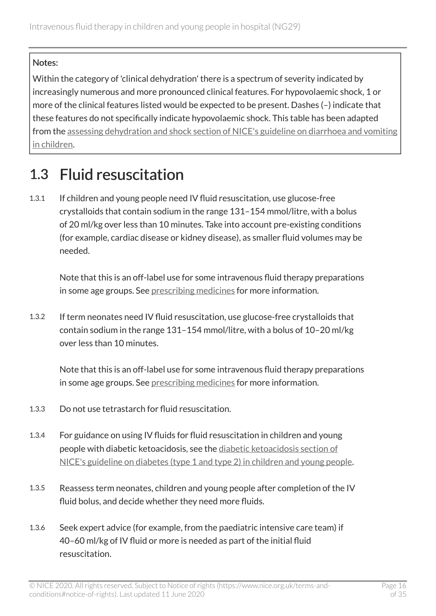#### Notes:

Within the category of 'clinical dehydration' there is a spectrum of severity indicated by increasingly numerous and more pronounced clinical features. For hypovolaemic shock, 1 or more of the clinical features listed would be expected to be present. Dashes (–) indicate that these features do not specifically indicate hypovolaemic shock. This table has been adapted from the [assessing dehydration and shock section of NICE's guideline on diarrhoea and vomiting](https://www.nice.org.uk/guidance/cg84/chapter/1-guidance#assessing-dehydration-and-shock-2)  [in children](https://www.nice.org.uk/guidance/cg84/chapter/1-guidance#assessing-dehydration-and-shock-2).

## <span id="page-15-0"></span>1.3 Fluid resuscitation

1.3.1 If children and young people need IV fluid resuscitation, use glucose-free crystalloids that contain sodium in the range 131–154 mmol/litre, with a bolus of 20 ml/kg over less than 10 minutes. Take into account pre-existing conditions (for example, cardiac disease or kidney disease), as smaller fluid volumes may be needed.

Note that this is an off-label use for some intravenous fluid therapy preparations in some age groups. See [prescribing medicines](https://www.nice.org.uk/about/what-we-do/our-programmes/nice-guidance/nice-guidelines/making-decisions-using-nice-guidelines#prescribing-medicines) for more information.

1.3.2 If term neonates need IV fluid resuscitation, use glucose-free crystalloids that contain sodium in the range 131–154 mmol/litre, with a bolus of 10–20 ml/kg over less than 10 minutes.

Note that this is an off-label use for some intravenous fluid therapy preparations in some age groups. See [prescribing medicines](https://www.nice.org.uk/about/what-we-do/our-programmes/nice-guidance/nice-guidelines/making-decisions-using-nice-guidelines#prescribing-medicines) for more information.

- 1.3.3 Do not use tetrastarch for fluid resuscitation.
- 1.3.4 For guidance on using IV fluids for fluid resuscitation in children and young people with diabetic ketoacidosis, see the [diabetic ketoacidosis section of](http://www.nice.org.uk/guidance/ng18/chapter/1-Recommendations#diabetic-ketoacidosis-2)  [NICE's guideline on diabetes \(type](http://www.nice.org.uk/guidance/ng18/chapter/1-Recommendations#diabetic-ketoacidosis-2) 1 and type 2) in children and young people.
- 1.3.5 Reassess term neonates, children and young people after completion of the IV fluid bolus, and decide whether they need more fluids.
- 1.3.6 Seek expert advice (for example, from the paediatric intensive care team) if 40–60 ml/kg of IV fluid or more is needed as part of the initial fluid resuscitation.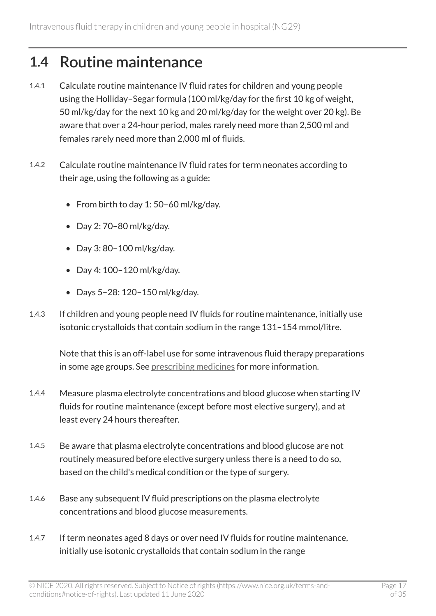### <span id="page-16-0"></span>1.4 Routine maintenance

- 1.4.1 Calculate routine maintenance IV fluid rates for children and young people using the Holliday–Segar formula (100 ml/kg/day for the first 10 kg of weight, 50 ml/kg/day for the next 10 kg and 20 ml/kg/day for the weight over 20 kg). Be aware that over a 24-hour period, males rarely need more than 2,500 ml and females rarely need more than 2,000 ml of fluids.
- 1.4.2 Calculate routine maintenance IV fluid rates for term neonates according to their age, using the following as a guide:
	- From birth to day 1: 50–60 ml/kg/day.
	- Day 2: 70–80 ml/kg/day.
	- Day 3: 80–100 ml/kg/day.
	- Day 4: 100–120 ml/kg/day.
	- Days 5–28: 120–150 ml/kg/day.
- 1.4.3 If children and young people need IV fluids for routine maintenance, initially use isotonic crystalloids that contain sodium in the range 131–154 mmol/litre.

Note that this is an off-label use for some intravenous fluid therapy preparations in some age groups. See [prescribing medicines](https://www.nice.org.uk/about/what-we-do/our-programmes/nice-guidance/nice-guidelines/making-decisions-using-nice-guidelines#prescribing-medicines) for more information.

- 1.4.4 Measure plasma electrolyte concentrations and blood glucose when starting IV fluids for routine maintenance (except before most elective surgery), and at least every 24 hours thereafter.
- 1.4.5 Be aware that plasma electrolyte concentrations and blood glucose are not routinely measured before elective surgery unless there is a need to do so, based on the child's medical condition or the type of surgery.
- 1.4.6 Base any subsequent IV fluid prescriptions on the plasma electrolyte concentrations and blood glucose measurements.
- 1.4.7 If term neonates aged 8 days or over need IV fluids for routine maintenance, initially use isotonic crystalloids that contain sodium in the range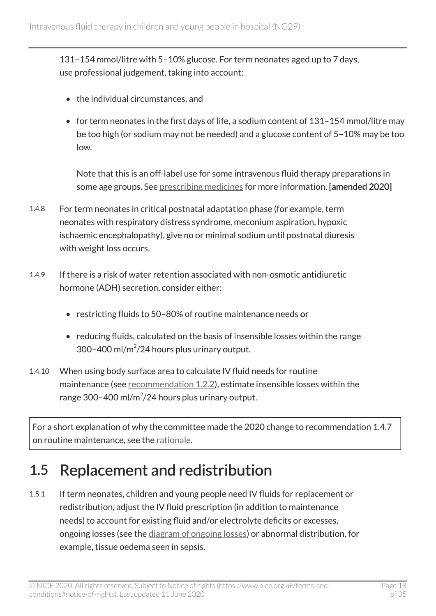131–154 mmol/litre with 5–10% glucose. For term neonates aged up to 7 days, use professional judgement, taking into account:

- the individual circumstances, and
- for term neonates in the first days of life, a sodium content of 131–154 mmol/litre may be too high (or sodium may not be needed) and a glucose content of 5–10% may be too low.

Note that this is an off-label use for some intravenous fluid therapy preparations in some age groups. See [prescribing medicines](https://www.nice.org.uk/about/what-we-do/our-programmes/nice-guidance/nice-guidelines/making-decisions-using-nice-guidelines#prescribing-medicines) for more information. [amended 2020]

- 1.4.8 For term neonates in critical postnatal adaptation phase (for example, term neonates with respiratory distress syndrome, meconium aspiration, hypoxic ischaemic encephalopathy), give no or minimal sodium until postnatal diuresis with weight loss occurs.
- 1.4.9 If there is a risk of water retention associated with non-osmotic antidiuretic hormone (ADH) secretion, consider either:
	- restricting fluids to 50–80% of routine maintenance needs or
	- reducing fluids, calculated on the basis of insensible losses within the range  $300 - 400$  ml/m<sup>2</sup>/24 hours plus urinary output.
- 1.4.10 When using body surface area to calculate IV fluid needs for routine maintenance (see [recommendation](#page-12-0) 1.2.2), estimate insensible losses within the range 300-400 ml/m<sup>2</sup>/24 hours plus urinary output.

For a short explanation of why the committee made the 2020 change to recommendation 1.4.7 on routine maintenance, see the [rationale.](#page-23-1)

### <span id="page-17-0"></span>1.5 Replacement and redistribution

1.5.1 If term neonates, children and young people need IV fluids for replacement or redistribution, adjust the IV fluid prescription (in addition to maintenance needs) to account for existing fluid and/or electrolyte deficits or excesses, ongoing losses (see the [diagram of ongoing losses\)](http://www.nice.org.uk/guidance/ng29/resources) or abnormal distribution, for example, tissue oedema seen in sepsis.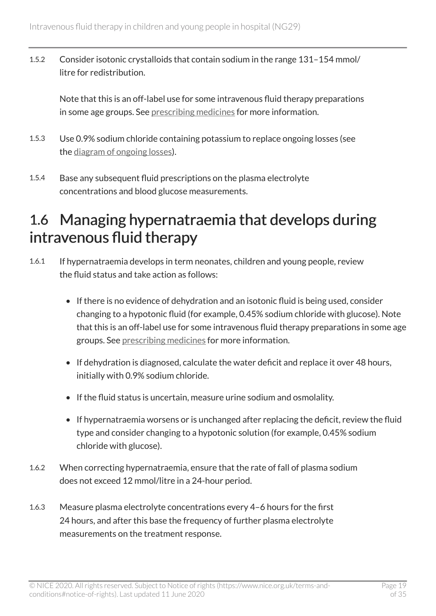1.5.2 Consider isotonic crystalloids that contain sodium in the range 131–154 mmol/ litre for redistribution.

Note that this is an off-label use for some intravenous fluid therapy preparations in some age groups. See [prescribing medicines](https://www.nice.org.uk/about/what-we-do/our-programmes/nice-guidance/nice-guidelines/making-decisions-using-nice-guidelines#prescribing-medicines) for more information.

- 1.5.3 Use 0.9% sodium chloride containing potassium to replace ongoing losses (see the [diagram of ongoing losses\)](http://www.nice.org.uk/guidance/ng29/resources).
- 1.5.4 Base any subsequent fluid prescriptions on the plasma electrolyte concentrations and blood glucose measurements.

### <span id="page-18-0"></span>1.6 Managing hypernatraemia that develops during intravenous fluid therapy

- 1.6.1 If hypernatraemia develops in term neonates, children and young people, review the fluid status and take action as follows:
	- If there is no evidence of dehydration and an isotonic fluid is being used, consider changing to a hypotonic fluid (for example, 0.45% sodium chloride with glucose). Note that this is an off-label use for some intravenous fluid therapy preparations in some age groups. See [prescribing medicines](https://www.nice.org.uk/about/what-we-do/our-programmes/nice-guidance/nice-guidelines/making-decisions-using-nice-guidelines#prescribing-medicines) for more information.
	- If dehydration is diagnosed, calculate the water deficit and replace it over 48 hours, initially with 0.9% sodium chloride.
	- If the fluid status is uncertain, measure urine sodium and osmolality.
	- If hypernatraemia worsens or is unchanged after replacing the deficit, review the fluid type and consider changing to a hypotonic solution (for example, 0.45% sodium chloride with glucose).
- 1.6.2 When correcting hypernatraemia, ensure that the rate of fall of plasma sodium does not exceed 12 mmol/litre in a 24-hour period.
- 1.6.3 Measure plasma electrolyte concentrations every 4–6 hours for the first 24 hours, and after this base the frequency of further plasma electrolyte measurements on the treatment response.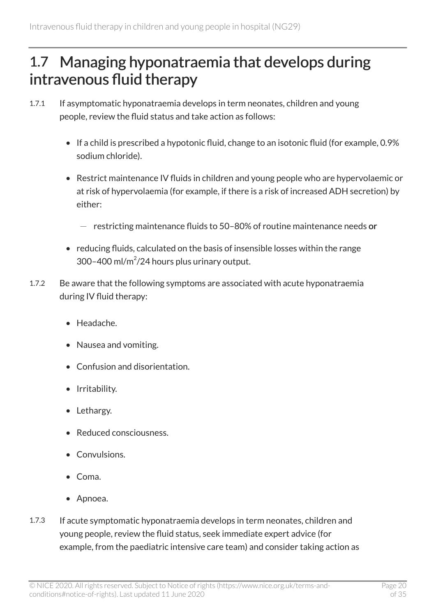### <span id="page-19-0"></span>1.7 Managing hyponatraemia that develops during intravenous fluid therapy

- 1.7.1 If asymptomatic hyponatraemia develops in term neonates, children and young people, review the fluid status and take action as follows:
	- If a child is prescribed a hypotonic fluid, change to an isotonic fluid (for example, 0.9% sodium chloride).
	- Restrict maintenance IV fluids in children and young people who are hypervolaemic or at risk of hypervolaemia (for example, if there is a risk of increased ADH secretion) by either:
		- $-$  restricting maintenance fluids to 50-80% of routine maintenance needs or
	- reducing fluids, calculated on the basis of insensible losses within the range  $300 - 400$  ml/m<sup>2</sup>/24 hours plus urinary output.
- 1.7.2 Be aware that the following symptoms are associated with acute hyponatraemia during IV fluid therapy:
	- Headache.
	- Nausea and vomiting.
	- Confusion and disorientation.
	- Irritability.
	- Lethargy.
	- Reduced consciousness.
	- Convulsions.
	- Coma.
	- Apnoea.
- 1.7.3 If acute symptomatic hyponatraemia develops in term neonates, children and young people, review the fluid status, seek immediate expert advice (for example, from the paediatric intensive care team) and consider taking action as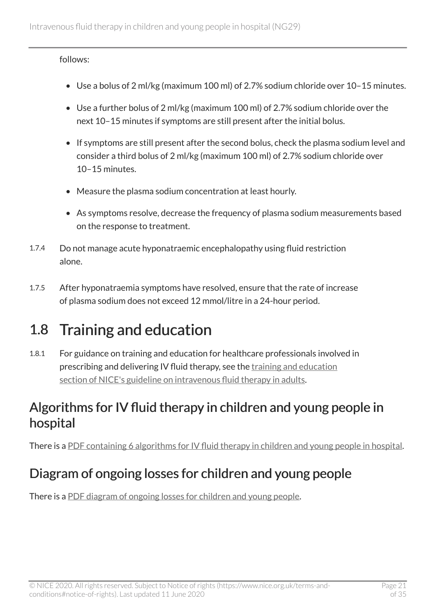follows:

- Use a bolus of 2 ml/kg (maximum 100 ml) of 2.7% sodium chloride over 10–15 minutes.
- Use a further bolus of 2 ml/kg (maximum 100 ml) of 2.7% sodium chloride over the next 10–15 minutes if symptoms are still present after the initial bolus.
- If symptoms are still present after the second bolus, check the plasma sodium level and consider a third bolus of 2 ml/kg (maximum 100 ml) of 2.7% sodium chloride over 10–15 minutes.
- Measure the plasma sodium concentration at least hourly.
- As symptoms resolve, decrease the frequency of plasma sodium measurements based on the response to treatment.
- 1.7.4 Do not manage acute hyponatraemic encephalopathy using fluid restriction alone.
- 1.7.5 After hyponatraemia symptoms have resolved, ensure that the rate of increase of plasma sodium does not exceed 12 mmol/litre in a 24-hour period.

## <span id="page-20-0"></span>1.8 Training and education

1.8.1 For guidance on training and education for healthcare professionals involved in prescribing and delivering IV fluid therapy, see the [training and education](http://www.nice.org.uk/guidance/cg174/chapter/1-recommendations#training-and-education-2)  [section of NICE's guideline on intravenous fluid therapy in adults.](http://www.nice.org.uk/guidance/cg174/chapter/1-recommendations#training-and-education-2)

#### Algorithms for IV fluid therapy in children and young people in hospital

There is a [PDF containing 6 algorithms for IV fluid therapy in children and young people in hospital](http://www.nice.org.uk/guidance/ng29/resources).

#### Diagram of ongoing losses for children and young people

There is a [PDF diagram of ongoing losses for children and young people](http://www.nice.org.uk/guidance/ng29/resources).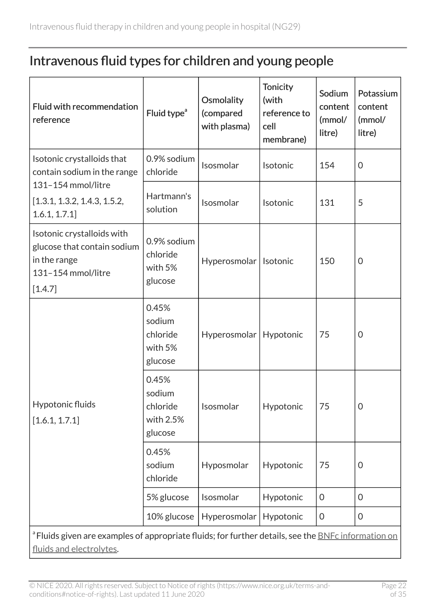#### Intravenous fluid types for children and young people

| Fluid with recommendation<br>reference                                                                                                            | Fluid type <sup>a</sup>                             | Osmolality<br>(compared<br>with plasma) | <b>Tonicity</b><br>(with<br>reference to<br>cell<br>membrane) | Sodium<br>content<br>(mmol/<br>litre) | Potassium<br>content<br>(mmol/<br>litre) |  |  |
|---------------------------------------------------------------------------------------------------------------------------------------------------|-----------------------------------------------------|-----------------------------------------|---------------------------------------------------------------|---------------------------------------|------------------------------------------|--|--|
| Isotonic crystalloids that<br>contain sodium in the range<br>131-154 mmol/litre<br>[1.3.1, 1.3.2, 1.4.3, 1.5.2,<br>1.6.1, 1.7.1]                  | 0.9% sodium<br>chloride                             | Isosmolar                               | Isotonic                                                      | 154                                   | $\Omega$                                 |  |  |
|                                                                                                                                                   | Hartmann's<br>solution                              | Isosmolar                               | Isotonic                                                      | 131                                   | 5                                        |  |  |
| Isotonic crystalloids with<br>glucose that contain sodium<br>in the range<br>131-154 mmol/litre<br>[1.4.7]                                        | 0.9% sodium<br>chloride<br>with 5%<br>glucose       | Hyperosmolar                            | Isotonic                                                      | 150                                   | $\overline{0}$                           |  |  |
| Hypotonic fluids<br>[1.6.1, 1.7.1]                                                                                                                | 0.45%<br>sodium<br>chloride<br>with 5%<br>glucose   | Hyperosmolar                            | Hypotonic                                                     | 75                                    | $\overline{0}$                           |  |  |
|                                                                                                                                                   | 0.45%<br>sodium<br>chloride<br>with 2.5%<br>glucose | Isosmolar                               | Hypotonic                                                     | 75                                    | $\overline{0}$                           |  |  |
|                                                                                                                                                   | 0.45%<br>sodium<br>chloride                         | Hyposmolar                              | Hypotonic                                                     | 75                                    | $\overline{0}$                           |  |  |
|                                                                                                                                                   | 5% glucose                                          | Isosmolar                               | Hypotonic                                                     | $\mathbf 0$                           | $\mathbf 0$                              |  |  |
|                                                                                                                                                   | 10% glucose                                         | Hyperosmolar                            | Hypotonic                                                     | $\Omega$                              | $\Omega$                                 |  |  |
| <sup>a</sup> Fluids given are examples of appropriate fluids; for further details, see the <b>BNFc</b> information on<br>fluids and electrolytes. |                                                     |                                         |                                                               |                                       |                                          |  |  |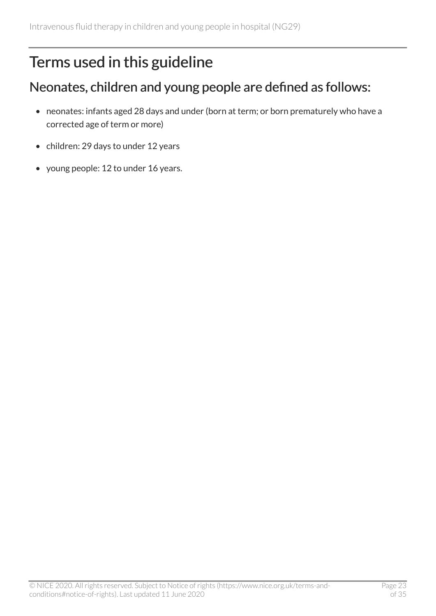## <span id="page-22-0"></span>Terms used in this guideline

#### Neonates, children and young people are defined as follows:

- neonates: infants aged 28 days and under (born at term; or born prematurely who have a corrected age of term or more)
- children: 29 days to under 12 years
- young people: 12 to under 16 years.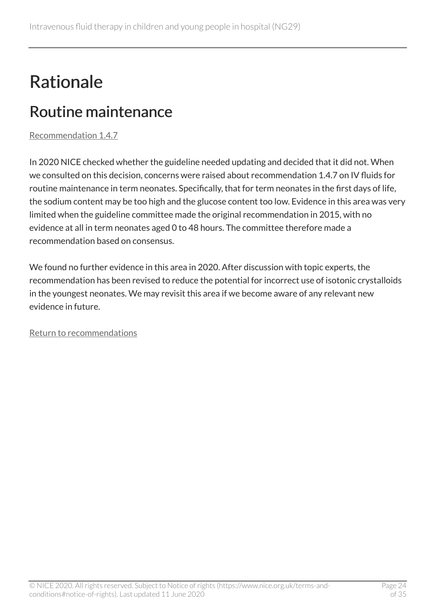## <span id="page-23-0"></span>Rationale

## <span id="page-23-1"></span>Routine maintenance

[Recommendation 1.4.7](#page-16-0) 

In 2020 NICE checked whether the guideline needed updating and decided that it did not. When we consulted on this decision, concerns were raised about recommendation 1.4.7 on IV fluids for routine maintenance in term neonates. Specifically, that for term neonates in the first days of life, the sodium content may be too high and the glucose content too low. Evidence in this area was very limited when the guideline committee made the original recommendation in 2015, with no evidence at all in term neonates aged 0 to 48 hours. The committee therefore made a recommendation based on consensus.

We found no further evidence in this area in 2020. After discussion with topic experts, the recommendation has been revised to reduce the potential for incorrect use of isotonic crystalloids in the youngest neonates. We may revisit this area if we become aware of any relevant new evidence in future.

[Return to recommendations](#page-16-0)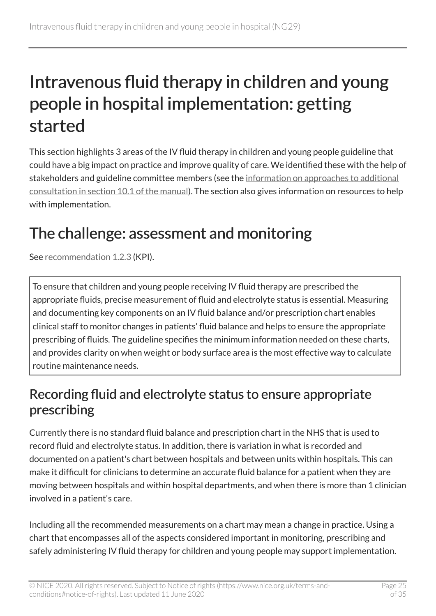## <span id="page-24-0"></span>Intravenous fluid therapy in children and young people in hospital implementation: getting started

This section highlights 3 areas of the IV fluid therapy in children and young people guideline that could have a big impact on practice and improve quality of care. We identified these with the help of stakeholders and guideline committee members (see the information on approaches to additional [consultation in section 10.1 of the manual\)](https://www.nice.org.uk/process/pmg20/chapter/the-validation-process-for-draft-guidelines-and-dealing-with-stakeholder-comments#what-happens-during-consultation). The section also gives information on resources to help with implementation.

## <span id="page-24-1"></span>The challenge: assessment and monitoring

See [recommendation](#page-12-0) 1.2.3 (KPI).

To ensure that children and young people receiving IV fluid therapy are prescribed the appropriate fluids, precise measurement of fluid and electrolyte status is essential. Measuring and documenting key components on an IV fluid balance and/or prescription chart enables clinical staff to monitor changes in patients' fluid balance and helps to ensure the appropriate prescribing of fluids. The guideline specifies the minimum information needed on these charts, and provides clarity on when weight or body surface area is the most effective way to calculate routine maintenance needs.

#### Recording fluid and electrolyte status to ensure appropriate prescribing

Currently there is no standard fluid balance and prescription chart in the NHS that is used to record fluid and electrolyte status. In addition, there is variation in what is recorded and documented on a patient's chart between hospitals and between units within hospitals. This can make it difficult for clinicians to determine an accurate fluid balance for a patient when they are moving between hospitals and within hospital departments, and when there is more than 1 clinician involved in a patient's care.

Including all the recommended measurements on a chart may mean a change in practice. Using a chart that encompasses all of the aspects considered important in monitoring, prescribing and safely administering IV fluid therapy for children and young people may support implementation.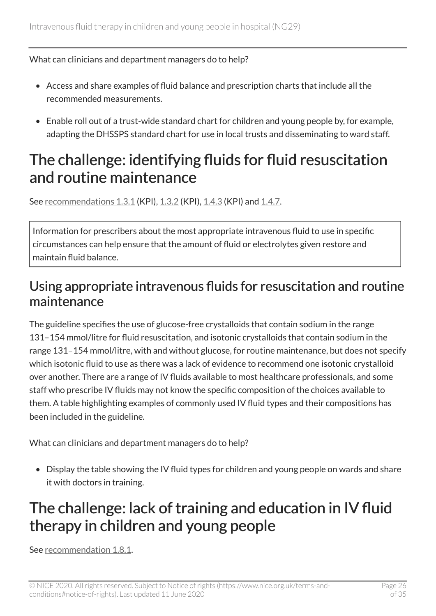#### What can clinicians and department managers do to help?

- Access and share examples of fluid balance and prescription charts that include all the recommended measurements.
- Enable roll out of a trust-wide standard chart for children and young people by, for example, adapting the DHSSPS standard chart for use in local trusts and disseminating to ward staff.

#### <span id="page-25-0"></span>The challenge: identifying fluids for fluid resuscitation and routine maintenance

See [recommendations](#page-15-0) 1.3.1 (KPI), [1.3.2](#page-15-0) (KPI), [1.4.3](#page-16-0) (KPI) and [1.4.7](#page-16-0).

Information for prescribers about the most appropriate intravenous fluid to use in specific circumstances can help ensure that the amount of fluid or electrolytes given restore and maintain fluid balance.

#### Using appropriate intravenous fluids for resuscitation and routine maintenance

The guideline specifies the use of glucose-free crystalloids that contain sodium in the range 131–154 mmol/litre for fluid resuscitation, and isotonic crystalloids that contain sodium in the range 131–154 mmol/litre, with and without glucose, for routine maintenance, but does not specify which isotonic fluid to use as there was a lack of evidence to recommend one isotonic crystalloid over another. There are a range of IV fluids available to most healthcare professionals, and some staff who prescribe IV fluids may not know the specific composition of the choices available to them. A table highlighting examples of commonly used IV fluid types and their compositions has been included in the guideline.

What can clinicians and department managers do to help?

• Display the table showing the IV fluid types for children and young people on wards and share it with doctors in training.

## <span id="page-25-1"></span>The challenge: lack of training and education in IV fluid therapy in children and young people

See [recommendation](#page-20-0) 1.8.1.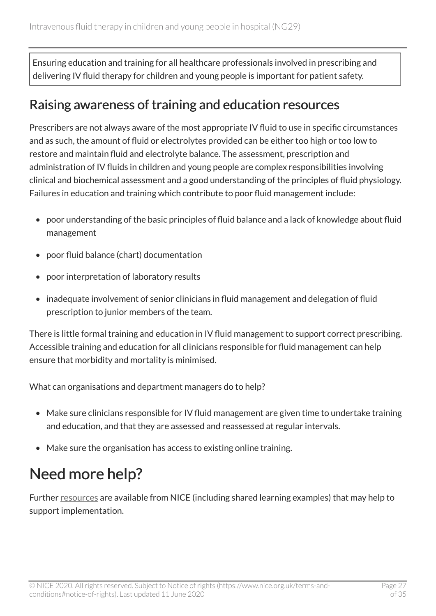Ensuring education and training for all healthcare professionals involved in prescribing and delivering IV fluid therapy for children and young people is important for patient safety.

#### Raising awareness of training and education resources

Prescribers are not always aware of the most appropriate IV fluid to use in specific circumstances and as such, the amount of fluid or electrolytes provided can be either too high or too low to restore and maintain fluid and electrolyte balance. The assessment, prescription and administration of IV fluids in children and young people are complex responsibilities involving clinical and biochemical assessment and a good understanding of the principles of fluid physiology. Failures in education and training which contribute to poor fluid management include:

- poor understanding of the basic principles of fluid balance and a lack of knowledge about fluid management
- poor fluid balance (chart) documentation
- poor interpretation of laboratory results
- inadequate involvement of senior clinicians in fluid management and delegation of fluid prescription to junior members of the team.

There is little formal training and education in IV fluid management to support correct prescribing. Accessible training and education for all clinicians responsible for fluid management can help ensure that morbidity and mortality is minimised.

What can organisations and department managers do to help?

- Make sure clinicians responsible for IV fluid management are given time to undertake training and education, and that they are assessed and reassessed at regular intervals.
- Make sure the organisation has access to existing online training.

## <span id="page-26-0"></span>Need more help?

Further [resources](http://www.nice.org.uk/guidance/ng29/resources) are available from NICE (including shared learning examples) that may help to support implementation.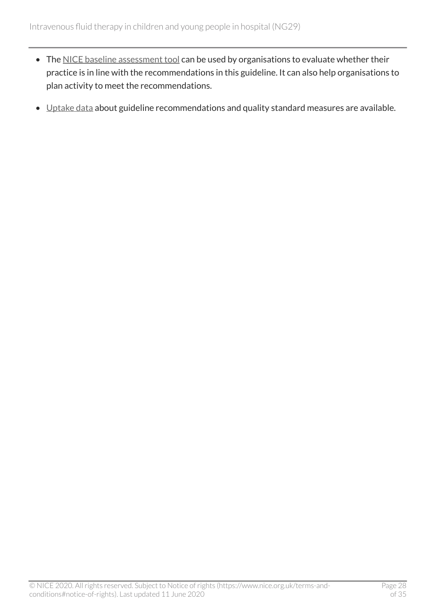- The [NICE baseline assessment tool](http://www.nice.org.uk/guidance/ng29/resources) can be used by organisations to evaluate whether their practice is in line with the recommendations in this guideline. It can also help organisations to plan activity to meet the recommendations.
- [Uptake data](http://www.nice.org.uk/uptake) about guideline recommendations and quality standard measures are available.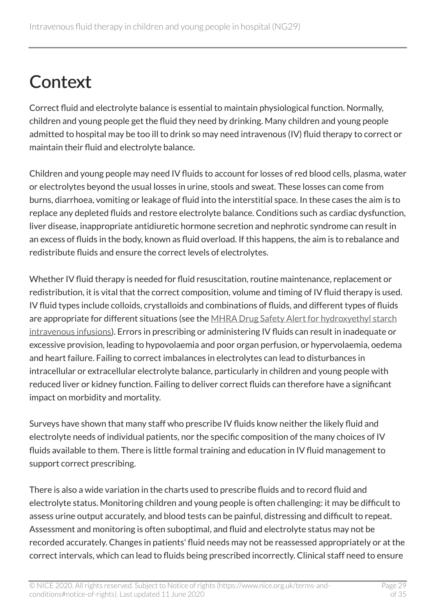# <span id="page-28-0"></span>**Context**

Correct fluid and electrolyte balance is essential to maintain physiological function. Normally, children and young people get the fluid they need by drinking. Many children and young people admitted to hospital may be too ill to drink so may need intravenous (IV) fluid therapy to correct or maintain their fluid and electrolyte balance.

Children and young people may need IV fluids to account for losses of red blood cells, plasma, water or electrolytes beyond the usual losses in urine, stools and sweat. These losses can come from burns, diarrhoea, vomiting or leakage of fluid into the interstitial space. In these cases the aim is to replace any depleted fluids and restore electrolyte balance. Conditions such as cardiac dysfunction, liver disease, inappropriate antidiuretic hormone secretion and nephrotic syndrome can result in an excess of fluids in the body, known as fluid overload. If this happens, the aim is to rebalance and redistribute fluids and ensure the correct levels of electrolytes.

Whether IV fluid therapy is needed for fluid resuscitation, routine maintenance, replacement or redistribution, it is vital that the correct composition, volume and timing of IV fluid therapy is used. IV fluid types include colloids, crystalloids and combinations of fluids, and different types of fluids are appropriate for different situations (see the [MHRA Drug Safety Alert for hydroxyethyl starch](http://www.gov.uk/drug-safety-update/hydroxyethyl-starch-intravenous-infusions) [intravenous infusions\)](http://www.gov.uk/drug-safety-update/hydroxyethyl-starch-intravenous-infusions). Errors in prescribing or administering IV fluids can result in inadequate or excessive provision, leading to hypovolaemia and poor organ perfusion, or hypervolaemia, oedema and heart failure. Failing to correct imbalances in electrolytes can lead to disturbances in intracellular or extracellular electrolyte balance, particularly in children and young people with reduced liver or kidney function. Failing to deliver correct fluids can therefore have a significant impact on morbidity and mortality.

Surveys have shown that many staff who prescribe IV fluids know neither the likely fluid and electrolyte needs of individual patients, nor the specific composition of the many choices of IV fluids available to them. There is little formal training and education in IV fluid management to support correct prescribing.

There is also a wide variation in the charts used to prescribe fluids and to record fluid and electrolyte status. Monitoring children and young people is often challenging: it may be difficult to assess urine output accurately, and blood tests can be painful, distressing and difficult to repeat. Assessment and monitoring is often suboptimal, and fluid and electrolyte status may not be recorded accurately. Changes in patients' fluid needs may not be reassessed appropriately or at the correct intervals, which can lead to fluids being prescribed incorrectly. Clinical staff need to ensure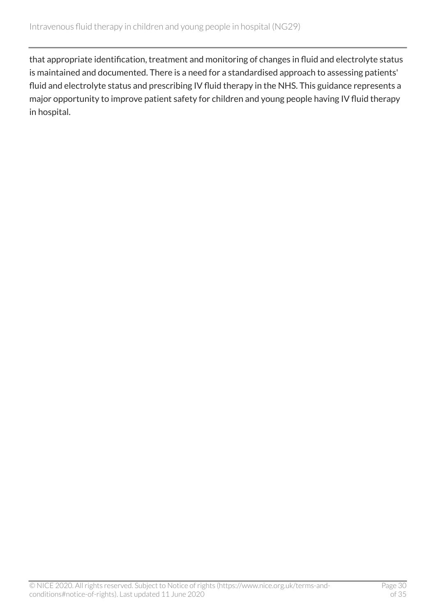that appropriate identification, treatment and monitoring of changes in fluid and electrolyte status is maintained and documented. There is a need for a standardised approach to assessing patients' fluid and electrolyte status and prescribing IV fluid therapy in the NHS. This guidance represents a major opportunity to improve patient safety for children and young people having IV fluid therapy in hospital.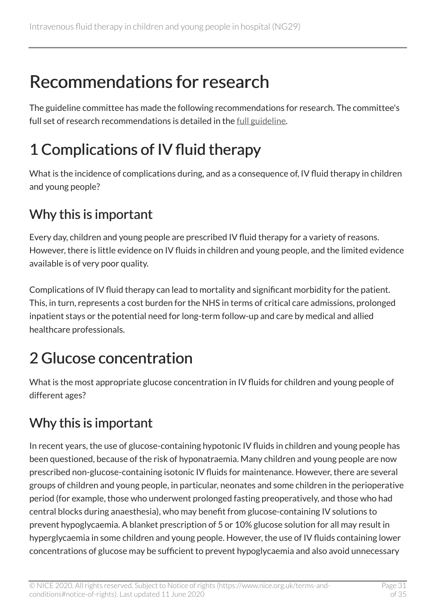## <span id="page-30-0"></span>Recommendations for research

The guideline committee has made the following recommendations for research. The committee's full set of research recommendations is detailed in the [full guideline](http://www.nice.org.uk/Guidance/NG29/Evidence).

## <span id="page-30-1"></span>1 Complications of IV fluid therapy

What is the incidence of complications during, and as a consequence of, IV fluid therapy in children and young people?

#### Why this is important

Every day, children and young people are prescribed IV fluid therapy for a variety of reasons. However, there is little evidence on IV fluids in children and young people, and the limited evidence available is of very poor quality.

Complications of IV fluid therapy can lead to mortality and significant morbidity for the patient. This, in turn, represents a cost burden for the NHS in terms of critical care admissions, prolonged inpatient stays or the potential need for long-term follow-up and care by medical and allied healthcare professionals.

## <span id="page-30-2"></span>2 Glucose concentration

What is the most appropriate glucose concentration in IV fluids for children and young people of different ages?

#### Why this is important

In recent years, the use of glucose-containing hypotonic IV fluids in children and young people has been questioned, because of the risk of hyponatraemia. Many children and young people are now prescribed non-glucose-containing isotonic IV fluids for maintenance. However, there are several groups of children and young people, in particular, neonates and some children in the perioperative period (for example, those who underwent prolonged fasting preoperatively, and those who had central blocks during anaesthesia), who may benefit from glucose-containing IV solutions to prevent hypoglycaemia. A blanket prescription of 5 or 10% glucose solution for all may result in hyperglycaemia in some children and young people. However, the use of IV fluids containing lower concentrations of glucose may be sufficient to prevent hypoglycaemia and also avoid unnecessary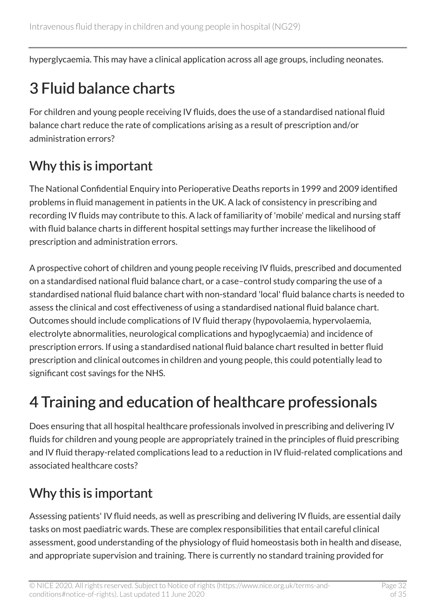hyperglycaemia. This may have a clinical application across all age groups, including neonates.

## <span id="page-31-0"></span>3 Fluid balance charts

For children and young people receiving IV fluids, does the use of a standardised national fluid balance chart reduce the rate of complications arising as a result of prescription and/or administration errors?

#### Why this is important

The National Confidential Enquiry into Perioperative Deaths reports in 1999 and 2009 identified problems in fluid management in patients in the UK. A lack of consistency in prescribing and recording IV fluids may contribute to this. A lack of familiarity of 'mobile' medical and nursing staff with fluid balance charts in different hospital settings may further increase the likelihood of prescription and administration errors.

A prospective cohort of children and young people receiving IV fluids, prescribed and documented on a standardised national fluid balance chart, or a case–control study comparing the use of a standardised national fluid balance chart with non-standard 'local' fluid balance charts is needed to assess the clinical and cost effectiveness of using a standardised national fluid balance chart. Outcomes should include complications of IV fluid therapy (hypovolaemia, hypervolaemia, electrolyte abnormalities, neurological complications and hypoglycaemia) and incidence of prescription errors. If using a standardised national fluid balance chart resulted in better fluid prescription and clinical outcomes in children and young people, this could potentially lead to significant cost savings for the NHS.

## <span id="page-31-1"></span>4 Training and education of healthcare professionals

Does ensuring that all hospital healthcare professionals involved in prescribing and delivering IV fluids for children and young people are appropriately trained in the principles of fluid prescribing and IV fluid therapy-related complications lead to a reduction in IV fluid-related complications and associated healthcare costs?

#### Why this is important

Assessing patients' IV fluid needs, as well as prescribing and delivering IV fluids, are essential daily tasks on most paediatric wards. These are complex responsibilities that entail careful clinical assessment, good understanding of the physiology of fluid homeostasis both in health and disease, and appropriate supervision and training. There is currently no standard training provided for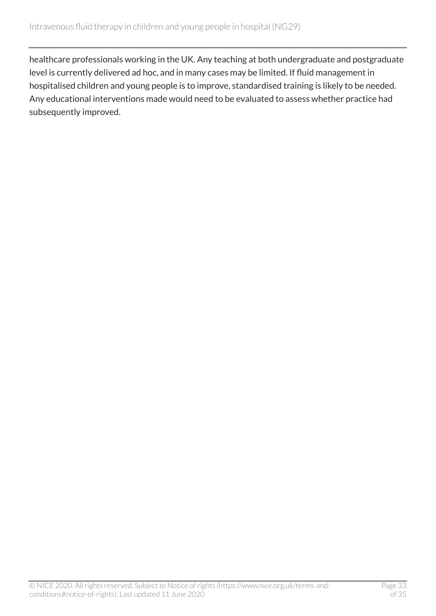healthcare professionals working in the UK. Any teaching at both undergraduate and postgraduate level is currently delivered ad hoc, and in many cases may be limited. If fluid management in hospitalised children and young people is to improve, standardised training is likely to be needed. Any educational interventions made would need to be evaluated to assess whether practice had subsequently improved.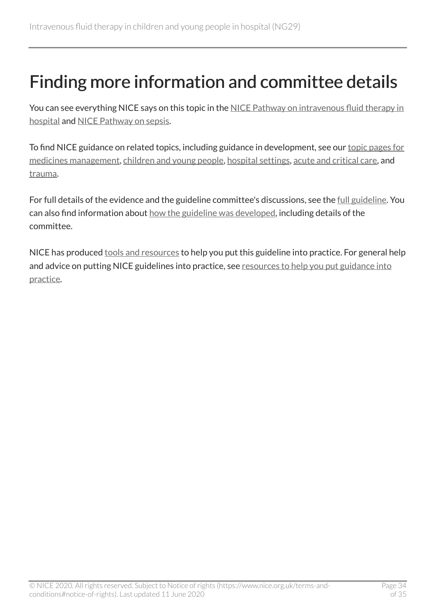## <span id="page-33-0"></span>Finding more information and committee details

You can see everything NICE says on this topic in the NICE Pathway on intravenous fluid therapy in [hospital](http://pathways.nice.org.uk/pathways/intravenous-fluid-therapy-in-hospital) and [NICE Pathway on sepsis](https://pathways.nice.org.uk/pathways/sepsis).

To find NICE guidance on related topics, including guidance in development, see our [topic pages for](https://www.nice.org.uk/guidance/health-and-social-care-delivery/medicines-management) [medicines management](https://www.nice.org.uk/guidance/health-and-social-care-delivery/medicines-management), [children and young people](http://www.nice.org.uk/guidance/population-groups/children-and-young-people), [hospital settings,](http://www.nice.org.uk/guidance/settings/hospitals) [acute and critical care,](http://www.nice.org.uk/guidance/service-delivery--organisation-and-staffing/acute-and-critical-care) and [trauma.](http://www.nice.org.uk/guidance/conditions-and-diseases/injuries--accidents-and-wounds/trauma)

For full details of the evidence and the guideline committee's discussions, see the [full guideline.](https://www.nice.org.uk/Guidance/NG29/evidence) You can also find information about [how the guideline was developed](https://www.nice.org.uk/Guidance/NG29/history), including details of the committee.

NICE has produced [tools and resources](https://www.nice.org.uk/guidance/ng29/resources) to help you put this guideline into practice. For general help and advice on putting NICE guidelines into practice, see resources to help you put guidance into [practice](https://www.nice.org.uk/about/what-we-do/into-practice/resources-help-put-guidance-into-practice).